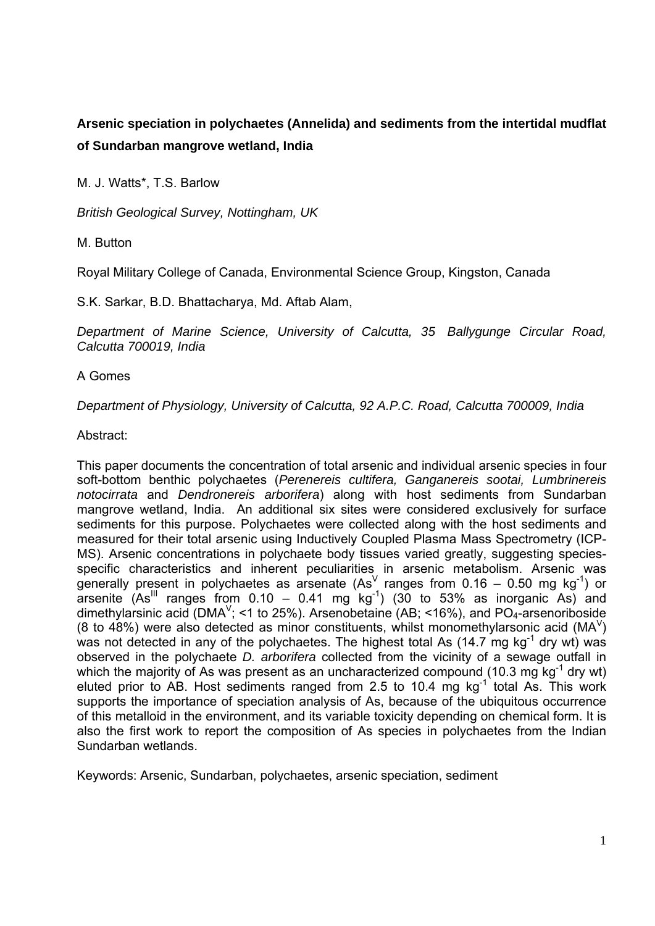# **Arsenic speciation in polychaetes (Annelida) and sediments from the intertidal mudflat of Sundarban mangrove wetland, India**

M. J. Watts\*, T.S. Barlow

*British Geological Survey, Nottingham, UK* 

M. Button

Royal Military College of Canada, Environmental Science Group, Kingston, Canada

S.K. Sarkar, B.D. Bhattacharya, Md. Aftab Alam,

*Department of Marine Science, University of Calcutta, 35 Ballygunge Circular Road, Calcutta 700019, India* 

A Gomes

*Department of Physiology, University of Calcutta, 92 A.P.C. Road, Calcutta 700009, India* 

Abstract:

This paper documents the concentration of total arsenic and individual arsenic species in four soft-bottom benthic polychaetes (*Perenereis cultifera, Ganganereis sootai, Lumbrinereis notocirrata* and *Dendronereis arborifera*) along with host sediments from Sundarban mangrove wetland, India. An additional six sites were considered exclusively for surface sediments for this purpose. Polychaetes were collected along with the host sediments and measured for their total arsenic using Inductively Coupled Plasma Mass Spectrometry (ICP-MS). Arsenic concentrations in polychaete body tissues varied greatly, suggesting speciesspecific characteristics and inherent peculiarities in arsenic metabolism. Arsenic was generally present in polychaetes as arsenate (As<sup>V</sup> ranges from 0.16 – 0.50 mg kg<sup>-1</sup>) or arsenite  $(As<sup>III</sup>$  ranges from 0.10 – 0.41 mg kg<sup>-1</sup>) (30 to 53% as inorganic As) and dimethylarsinic acid (DMA<sup>V</sup>; <1 to 25%). Arsenobetaine (AB; <16%), and PO<sub>4</sub>-arsenoriboside (8 to 48%) were also detected as minor constituents, whilst monomethylarsonic acid (MA $<sup>V</sup>$ )</sup> was not detected in any of the polychaetes. The highest total As  $(14.7 \text{ mg kg}^{-1}$  dry wt) was observed in the polychaete *D. arborifera* collected from the vicinity of a sewage outfall in which the majority of As was present as an uncharacterized compound (10.3 mg kg<sup>-1</sup> dry wt) eluted prior to AB. Host sediments ranged from 2.5 to 10.4 mg  $kg<sup>-1</sup>$  total As. This work supports the importance of speciation analysis of As, because of the ubiquitous occurrence of this metalloid in the environment, and its variable toxicity depending on chemical form. It is also the first work to report the composition of As species in polychaetes from the Indian Sundarban wetlands.

Keywords: Arsenic, Sundarban, polychaetes, arsenic speciation, sediment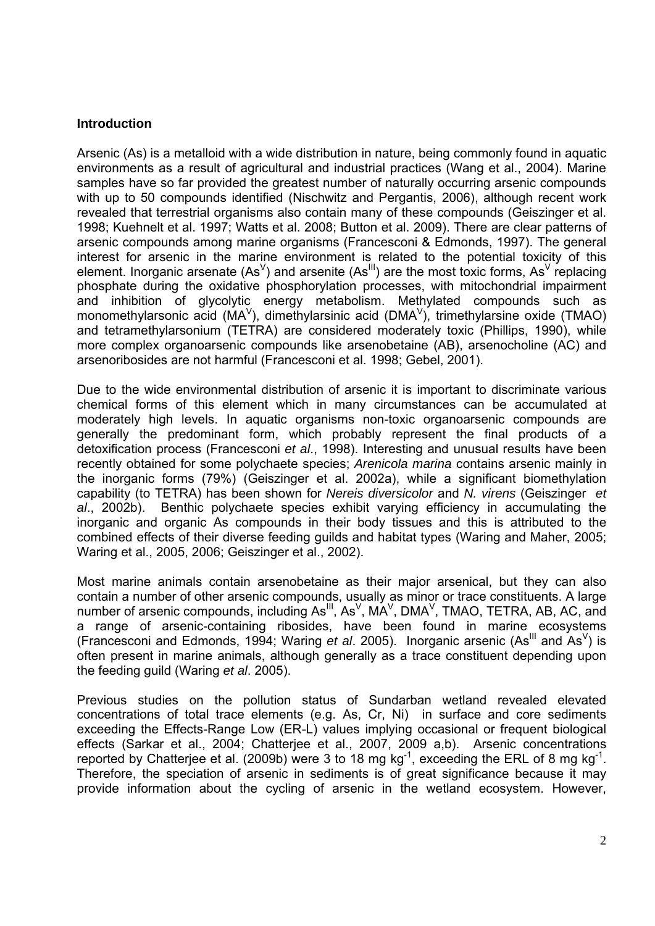#### **Introduction**

Arsenic (As) is a metalloid with a wide distribution in nature, being commonly found in aquatic environments as a result of agricultural and industrial practices (Wang et al., 2004). Marine samples have so far provided the greatest number of naturally occurring arsenic compounds with up to 50 compounds identified (Nischwitz and Pergantis, 2006), although recent work revealed that terrestrial organisms also contain many of these compounds (Geiszinger et al. 1998; Kuehnelt et al. 1997; Watts et al. 2008; Button et al. 2009). There are clear patterns of arsenic compounds among marine organisms (Francesconi & Edmonds, 1997). The general interest for arsenic in the marine environment is related to the potential toxicity of this element. Inorganic arsenate (As<sup>V</sup>) and arsenite (As<sup>III</sup>) are the most toxic forms, As<sup>V</sup> replacing phosphate during the oxidative phosphorylation processes, with mitochondrial impairment and inhibition of glycolytic energy metabolism. Methylated compounds such as monomethylarsonic acid (MA<sup>V</sup>), dimethylarsinic acid (DMA<sup>V</sup>), trimethylarsine oxide (TMAO) and tetramethylarsonium (TETRA) are considered moderately toxic (Phillips, 1990), while more complex organoarsenic compounds like arsenobetaine (AB), arsenocholine (AC) and arsenoribosides are not harmful (Francesconi et al. 1998; Gebel, 2001).

Due to the wide environmental distribution of arsenic it is important to discriminate various chemical forms of this element which in many circumstances can be accumulated at moderately high levels. In aquatic organisms non-toxic organoarsenic compounds are generally the predominant form, which probably represent the final products of a detoxification process (Francesconi *et al*., 1998). Interesting and unusual results have been recently obtained for some polychaete species; *Arenicola marina* contains arsenic mainly in the inorganic forms (79%) (Geiszinger et al. 2002a), while a significant biomethylation capability (to TETRA) has been shown for *Nereis diversicolor* and *N. virens* (Geiszinger *et al*., 2002b). Benthic polychaete species exhibit varying efficiency in accumulating the inorganic and organic As compounds in their body tissues and this is attributed to the combined effects of their diverse feeding guilds and habitat types (Waring and Maher, 2005; Waring et al., 2005, 2006; Geiszinger et al., 2002).

Most marine animals contain arsenobetaine as their major arsenical, but they can also contain a number of other arsenic compounds, usually as minor or trace constituents. A large number of arsenic compounds, including  $As^{III}$ , As<sup>V</sup>, MA<sup>V</sup>, DMA<sup>V</sup>, TMAO, TETRA, AB, AC, and a range of arsenic-containing ribosides, have been found in marine ecosystems (Francesconi and Edmonds, 1994; Waring *et al.* 2005). Inorganic arsenic (As<sup>III</sup> and As<sup>V</sup>) is often present in marine animals, although generally as a trace constituent depending upon the feeding guild (Waring *et al*. 2005).

Previous studies on the pollution status of Sundarban wetland revealed elevated concentrations of total trace elements (e.g. As, Cr, Ni) in surface and core sediments exceeding the Effects-Range Low (ER-L) values implying occasional or frequent biological effects (Sarkar et al., 2004; Chatterjee et al., 2007, 2009 a,b). Arsenic concentrations reported by Chatterjee et al. (2009b) were 3 to 18 mg  $kg^{-1}$ , exceeding the ERL of 8 mg  $kg^{-1}$ . Therefore, the speciation of arsenic in sediments is of great significance because it may provide information about the cycling of arsenic in the wetland ecosystem. However,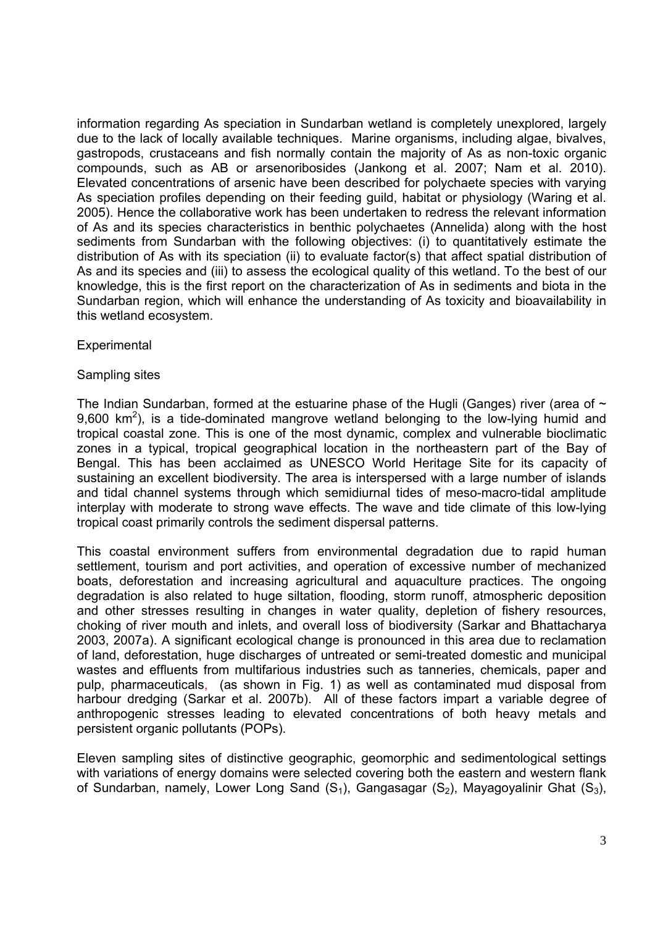information regarding As speciation in Sundarban wetland is completely unexplored, largely due to the lack of locally available techniques. Marine organisms, including algae, bivalves, gastropods, crustaceans and fish normally contain the majority of As as non-toxic organic compounds, such as AB or arsenoribosides (Jankong et al. 2007; Nam et al. 2010). Elevated concentrations of arsenic have been described for polychaete species with varying As speciation profiles depending on their feeding guild, habitat or physiology (Waring et al. 2005). Hence the collaborative work has been undertaken to redress the relevant information of As and its species characteristics in benthic polychaetes (Annelida) along with the host sediments from Sundarban with the following objectives: (i) to quantitatively estimate the distribution of As with its speciation (ii) to evaluate factor(s) that affect spatial distribution of As and its species and (iii) to assess the ecological quality of this wetland. To the best of our knowledge, this is the first report on the characterization of As in sediments and biota in the Sundarban region, which will enhance the understanding of As toxicity and bioavailability in this wetland ecosystem.

#### **Experimental**

#### Sampling sites

The Indian Sundarban, formed at the estuarine phase of the Hugli (Ganges) river (area of  $\sim$ 9,600  $\text{km}^2$ ), is a tide-dominated mangrove wetland belonging to the low-lying humid and tropical coastal zone. This is one of the most dynamic, complex and vulnerable bioclimatic zones in a typical, tropical geographical location in the northeastern part of the Bay of Bengal. This has been acclaimed as UNESCO World Heritage Site for its capacity of sustaining an excellent biodiversity. The area is interspersed with a large number of islands and tidal channel systems through which semidiurnal tides of meso-macro-tidal amplitude interplay with moderate to strong wave effects. The wave and tide climate of this low-lying tropical coast primarily controls the sediment dispersal patterns.

This coastal environment suffers from environmental degradation due to rapid human settlement, tourism and port activities, and operation of excessive number of mechanized boats, deforestation and increasing agricultural and aquaculture practices. The ongoing degradation is also related to huge siltation, flooding, storm runoff, atmospheric deposition and other stresses resulting in changes in water quality, depletion of fishery resources, choking of river mouth and inlets, and overall loss of biodiversity (Sarkar and Bhattacharya 2003, 2007a). A significant ecological change is pronounced in this area due to reclamation of land, deforestation, huge discharges of untreated or semi-treated domestic and municipal wastes and effluents from multifarious industries such as tanneries, chemicals, paper and pulp, pharmaceuticals, (as shown in Fig. 1) as well as contaminated mud disposal from harbour dredging (Sarkar et al. 2007b). All of these factors impart a variable degree of anthropogenic stresses leading to elevated concentrations of both heavy metals and persistent organic pollutants (POPs).

Eleven sampling sites of distinctive geographic, geomorphic and sedimentological settings with variations of energy domains were selected covering both the eastern and western flank of Sundarban, namely, Lower Long Sand  $(S_1)$ , Gangasagar  $(S_2)$ , Mayagoyalinir Ghat  $(S_3)$ ,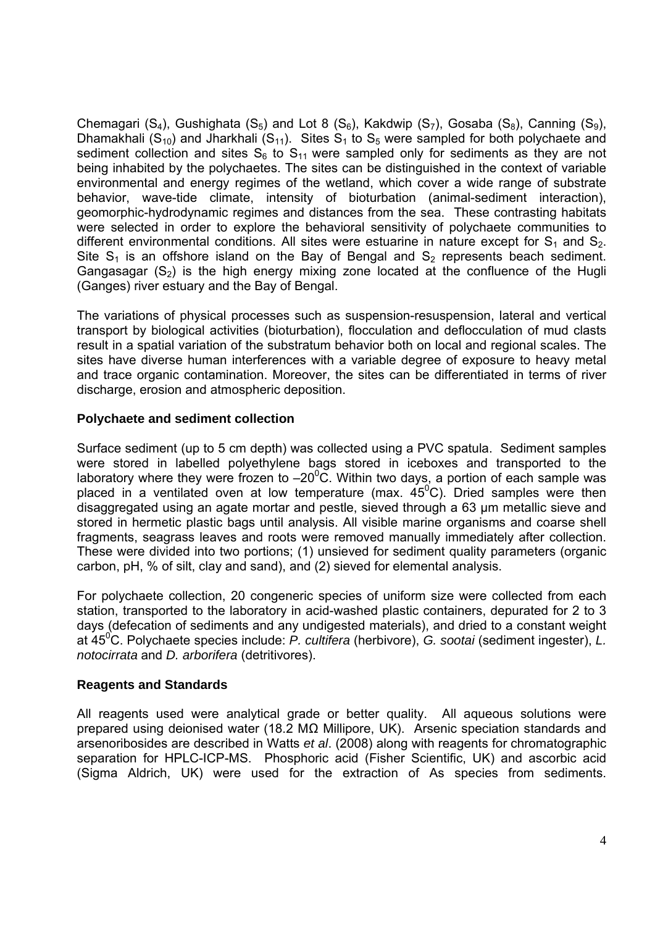Chemagari (S<sub>4</sub>), Gushighata (S<sub>5</sub>) and Lot 8 (S<sub>6</sub>), Kakdwip (S<sub>7</sub>), Gosaba (S<sub>8</sub>), Canning (S<sub>9</sub>), Dhamakhali  $(S_{10})$  and Jharkhali  $(S_{11})$ . Sites  $S_1$  to  $S_5$  were sampled for both polychaete and sediment collection and sites  $S<sub>6</sub>$  to  $S<sub>11</sub>$  were sampled only for sediments as they are not being inhabited by the polychaetes. The sites can be distinguished in the context of variable environmental and energy regimes of the wetland, which cover a wide range of substrate behavior, wave-tide climate, intensity of bioturbation (animal-sediment interaction), geomorphic-hydrodynamic regimes and distances from the sea. These contrasting habitats were selected in order to explore the behavioral sensitivity of polychaete communities to different environmental conditions. All sites were estuarine in nature except for  $S_1$  and  $S_2$ . Site  $S_1$  is an offshore island on the Bay of Bengal and  $S_2$  represents beach sediment. Gangasagar  $(S_2)$  is the high energy mixing zone located at the confluence of the Hugli (Ganges) river estuary and the Bay of Bengal.

The variations of physical processes such as suspension-resuspension, lateral and vertical transport by biological activities (bioturbation), flocculation and deflocculation of mud clasts result in a spatial variation of the substratum behavior both on local and regional scales. The sites have diverse human interferences with a variable degree of exposure to heavy metal and trace organic contamination. Moreover, the sites can be differentiated in terms of river discharge, erosion and atmospheric deposition.

# **Polychaete and sediment collection**

Surface sediment (up to 5 cm depth) was collected using a PVC spatula. Sediment samples were stored in labelled polyethylene bags stored in iceboxes and transported to the laboratory where they were frozen to  $-20^0$ C. Within two days, a portion of each sample was placed in a ventilated oven at low temperature (max.  $45^{\circ}$ C). Dried samples were then disaggregated using an agate mortar and pestle, sieved through a 63 μm metallic sieve and stored in hermetic plastic bags until analysis. All visible marine organisms and coarse shell fragments, seagrass leaves and roots were removed manually immediately after collection. These were divided into two portions; (1) unsieved for sediment quality parameters (organic carbon, pH, % of silt, clay and sand), and (2) sieved for elemental analysis.

For polychaete collection, 20 congeneric species of uniform size were collected from each station, transported to the laboratory in acid-washed plastic containers, depurated for 2 to 3 days (defecation of sediments and any undigested materials), and dried to a constant weight at 450 C. Polychaete species include: *P. cultifera* (herbivore), *G. sootai* (sediment ingester), *L. notocirrata* and *D. arborifera* (detritivores).

## **Reagents and Standards**

All reagents used were analytical grade or better quality. All aqueous solutions were prepared using deionised water (18.2 MΩ Millipore, UK). Arsenic speciation standards and arsenoribosides are described in Watts *et al*. (2008) along with reagents for chromatographic separation for HPLC-ICP-MS. Phosphoric acid (Fisher Scientific, UK) and ascorbic acid (Sigma Aldrich, UK) were used for the extraction of As species from sediments.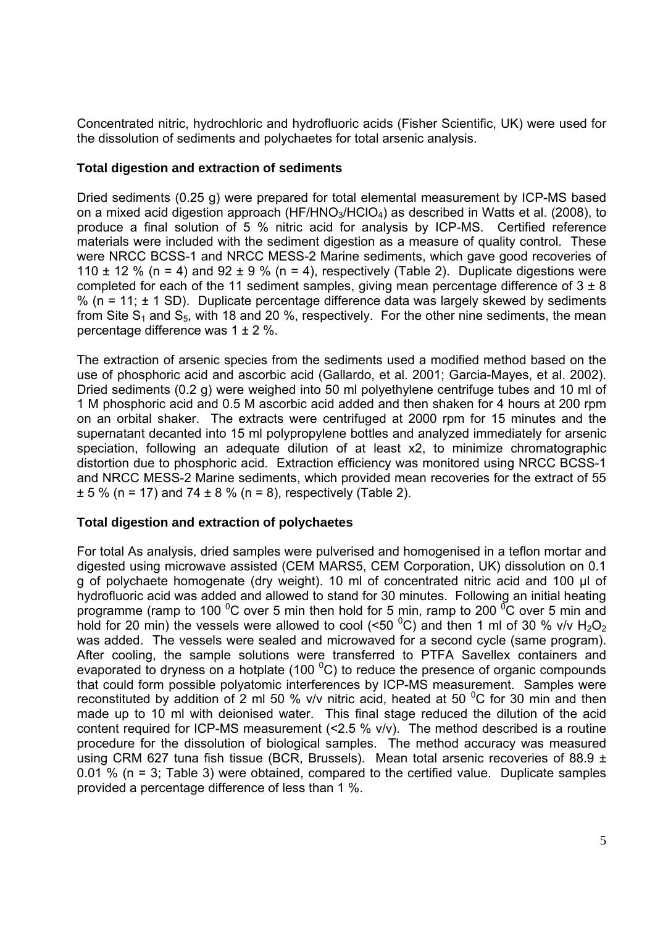Concentrated nitric, hydrochloric and hydrofluoric acids (Fisher Scientific, UK) were used for the dissolution of sediments and polychaetes for total arsenic analysis.

## **Total digestion and extraction of sediments**

Dried sediments (0.25 g) were prepared for total elemental measurement by ICP-MS based on a mixed acid digestion approach (HF/HNO<sub>3</sub>/HClO<sub>4</sub>) as described in Watts et al. (2008), to produce a final solution of 5 % nitric acid for analysis by ICP-MS. Certified reference materials were included with the sediment digestion as a measure of quality control. These were NRCC BCSS-1 and NRCC MESS-2 Marine sediments, which gave good recoveries of 110  $\pm$  12 % (n = 4) and 92  $\pm$  9 % (n = 4), respectively (Table 2). Duplicate digestions were completed for each of the 11 sediment samples, giving mean percentage difference of  $3 \pm 8$ % (n = 11;  $\pm$  1 SD). Duplicate percentage difference data was largely skewed by sediments from Site  $S_1$  and  $S_5$ , with 18 and 20 %, respectively. For the other nine sediments, the mean percentage difference was 1 ± 2 %.

The extraction of arsenic species from the sediments used a modified method based on the use of phosphoric acid and ascorbic acid (Gallardo, et al. 2001; Garcia-Mayes, et al. 2002). Dried sediments (0.2 g) were weighed into 50 ml polyethylene centrifuge tubes and 10 ml of 1 M phosphoric acid and 0.5 M ascorbic acid added and then shaken for 4 hours at 200 rpm on an orbital shaker. The extracts were centrifuged at 2000 rpm for 15 minutes and the supernatant decanted into 15 ml polypropylene bottles and analyzed immediately for arsenic speciation, following an adequate dilution of at least x2, to minimize chromatographic distortion due to phosphoric acid. Extraction efficiency was monitored using NRCC BCSS-1 and NRCC MESS-2 Marine sediments, which provided mean recoveries for the extract of 55  $\pm$  5 % (n = 17) and 74  $\pm$  8 % (n = 8), respectively (Table 2).

## **Total digestion and extraction of polychaetes**

For total As analysis, dried samples were pulverised and homogenised in a teflon mortar and digested using microwave assisted (CEM MARS5, CEM Corporation, UK) dissolution on 0.1 g of polychaete homogenate (dry weight). 10 ml of concentrated nitric acid and 100 µl of hydrofluoric acid was added and allowed to stand for 30 minutes. Following an initial heating programme (ramp to 100  $\mathrm{^0C}$  over 5 min then hold for 5 min, ramp to 200  $\mathrm{^0C}$  over 5 min and hold for 20 min) the vessels were allowed to cool (<50  $^0$ C) and then 1 ml of 30 % v/v H<sub>2</sub>O<sub>2</sub> was added. The vessels were sealed and microwaved for a second cycle (same program). After cooling, the sample solutions were transferred to PTFA Savellex containers and evaporated to dryness on a hotplate (100 $\,^{\circ}$ C) to reduce the presence of organic compounds that could form possible polyatomic interferences by ICP-MS measurement. Samples were reconstituted by addition of 2 ml 50 % v/v nitric acid, heated at 50  $\mathrm{^0C}$  for 30 min and then made up to 10 ml with deionised water. This final stage reduced the dilution of the acid content required for ICP-MS measurement (<2.5 % v/v). The method described is a routine procedure for the dissolution of biological samples. The method accuracy was measured using CRM 627 tuna fish tissue (BCR, Brussels). Mean total arsenic recoveries of 88.9  $\pm$ 0.01 % (n = 3; Table 3) were obtained, compared to the certified value. Duplicate samples provided a percentage difference of less than 1 %.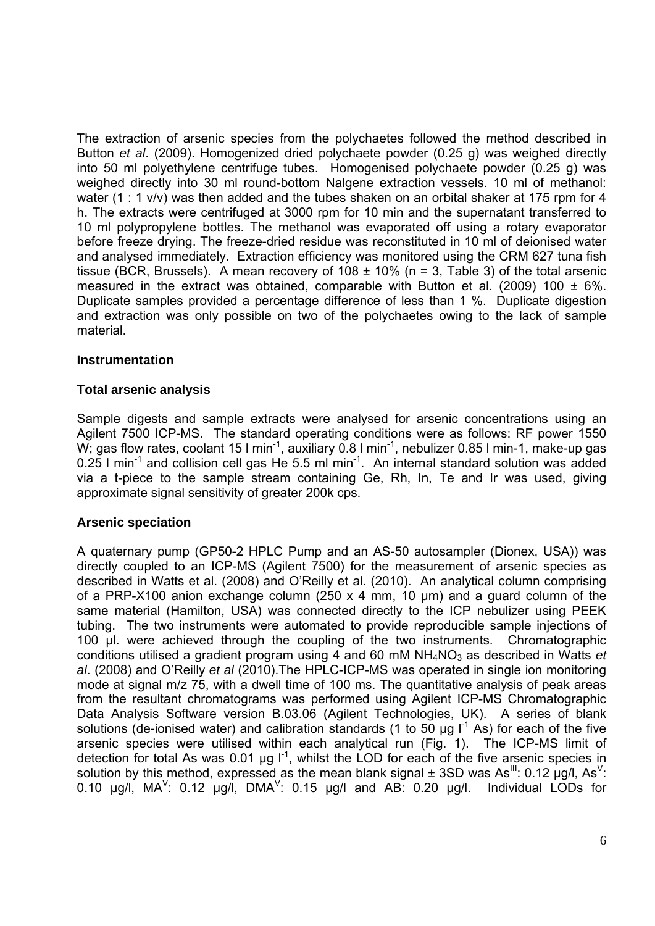The extraction of arsenic species from the polychaetes followed the method described in Button *et al*. (2009). Homogenized dried polychaete powder (0.25 g) was weighed directly into 50 ml polyethylene centrifuge tubes. Homogenised polychaete powder (0.25 g) was weighed directly into 30 ml round-bottom Nalgene extraction vessels. 10 ml of methanol: water (1 : 1 v/v) was then added and the tubes shaken on an orbital shaker at 175 rpm for 4 h. The extracts were centrifuged at 3000 rpm for 10 min and the supernatant transferred to 10 ml polypropylene bottles. The methanol was evaporated off using a rotary evaporator before freeze drying. The freeze-dried residue was reconstituted in 10 ml of deionised water and analysed immediately. Extraction efficiency was monitored using the CRM 627 tuna fish tissue (BCR, Brussels). A mean recovery of  $108 \pm 10\%$  (n = 3, Table 3) of the total arsenic measured in the extract was obtained, comparable with Button et al. (2009) 100  $\pm$  6%. Duplicate samples provided a percentage difference of less than 1 %. Duplicate digestion and extraction was only possible on two of the polychaetes owing to the lack of sample material.

## **Instrumentation**

## **Total arsenic analysis**

Sample digests and sample extracts were analysed for arsenic concentrations using an Agilent 7500 ICP-MS. The standard operating conditions were as follows: RF power 1550 W; gas flow rates, coolant 15 l min<sup>-1</sup>, auxiliary 0.8 l min<sup>-1</sup>, nebulizer 0.85 l min-1, make-up gas  $0.25$  I min<sup>-1</sup> and collision cell gas He 5.5 ml min<sup>-1</sup>. An internal standard solution was added via a t-piece to the sample stream containing Ge, Rh, In, Te and Ir was used, giving approximate signal sensitivity of greater 200k cps.

## **Arsenic speciation**

A quaternary pump (GP50-2 HPLC Pump and an AS-50 autosampler (Dionex, USA)) was directly coupled to an ICP-MS (Agilent 7500) for the measurement of arsenic species as described in Watts et al. (2008) and O'Reilly et al. (2010). An analytical column comprising of a PRP-X100 anion exchange column (250 x 4 mm, 10 μm) and a guard column of the same material (Hamilton, USA) was connected directly to the ICP nebulizer using PEEK tubing. The two instruments were automated to provide reproducible sample injections of 100 µl. were achieved through the coupling of the two instruments. Chromatographic conditions utilised a gradient program using 4 and 60 mM NH<sub>4</sub>NO<sub>3</sub> as described in Watts *et al*. (2008) and O'Reilly *et al* (2010).The HPLC-ICP-MS was operated in single ion monitoring mode at signal m/z 75, with a dwell time of 100 ms. The quantitative analysis of peak areas from the resultant chromatograms was performed using Agilent ICP-MS Chromatographic Data Analysis Software version B.03.06 (Agilent Technologies, UK). A series of blank solutions (de-ionised water) and calibration standards (1 to 50 µg  $I^1$  As) for each of the five arsenic species were utilised within each analytical run (Fig. 1). The ICP-MS limit of detection for total As was 0.01 µg  $I^1$ , whilst the LOD for each of the five arsenic species in solution by this method, expressed as the mean blank signal  $\pm$  3SD was As<sup>III</sup>: 0.12 µg/l, As<sup>V</sup>: 0.10 μg/l,  $MA^V$ : 0.12 μg/l,  $DMA^V$ : 0.15 μg/l and AB: 0.20 μg/l. Individual LODs for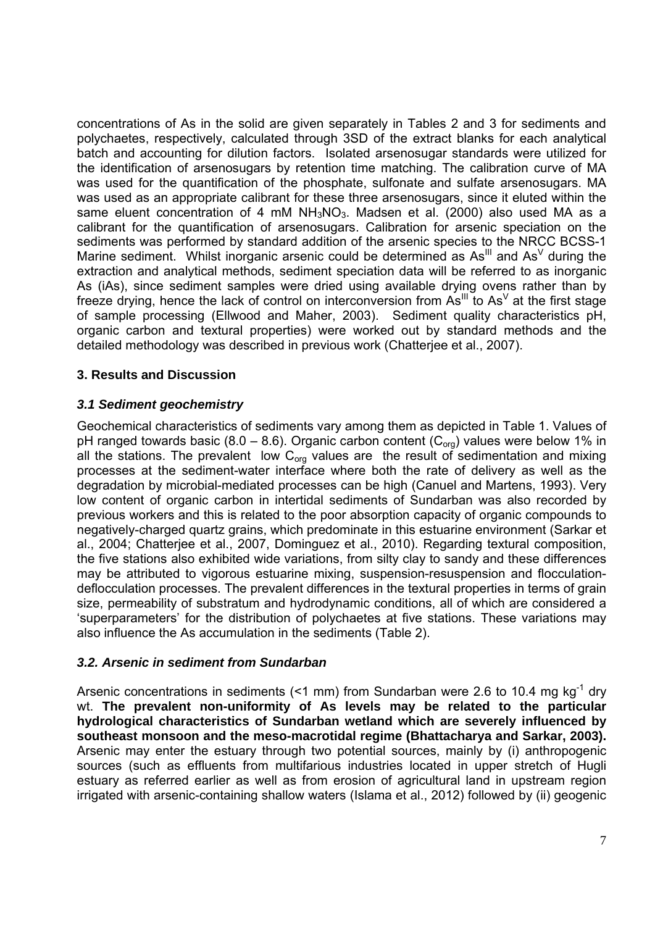concentrations of As in the solid are given separately in Tables 2 and 3 for sediments and polychaetes, respectively, calculated through 3SD of the extract blanks for each analytical batch and accounting for dilution factors. Isolated arsenosugar standards were utilized for the identification of arsenosugars by retention time matching. The calibration curve of MA was used for the quantification of the phosphate, sulfonate and sulfate arsenosugars. MA was used as an appropriate calibrant for these three arsenosugars, since it eluted within the same eluent concentration of 4 mM  $NH<sub>3</sub>NO<sub>3</sub>$ . Madsen et al. (2000) also used MA as a calibrant for the quantification of arsenosugars. Calibration for arsenic speciation on the sediments was performed by standard addition of the arsenic species to the NRCC BCSS-1 Marine sediment. Whilst inorganic arsenic could be determined as  $As<sup>III</sup>$  and  $As<sup>V</sup>$  during the extraction and analytical methods, sediment speciation data will be referred to as inorganic As (iAs), since sediment samples were dried using available drying ovens rather than by freeze drying, hence the lack of control on interconversion from  $As^{11}$  to  $As^{11}$  at the first stage of sample processing (Ellwood and Maher, 2003). Sediment quality characteristics pH, organic carbon and textural properties) were worked out by standard methods and the detailed methodology was described in previous work (Chatterjee et al., 2007).

# **3. Results and Discussion**

# *3.1 Sediment geochemistry*

Geochemical characteristics of sediments vary among them as depicted in Table 1. Values of pH ranged towards basic (8.0 – 8.6). Organic carbon content ( $C_{\text{ora}}$ ) values were below 1% in all the stations. The prevalent low  $C_{\text{ora}}$  values are the result of sedimentation and mixing processes at the sediment-water interface where both the rate of delivery as well as the degradation by microbial-mediated processes can be high (Canuel and Martens, 1993). Very low content of organic carbon in intertidal sediments of Sundarban was also recorded by previous workers and this is related to the poor absorption capacity of organic compounds to negatively-charged quartz grains, which predominate in this estuarine environment (Sarkar et al., 2004; Chatterjee et al., 2007, Dominguez et al., 2010). Regarding textural composition, the five stations also exhibited wide variations, from silty clay to sandy and these differences may be attributed to vigorous estuarine mixing, suspension-resuspension and flocculationdeflocculation processes. The prevalent differences in the textural properties in terms of grain size, permeability of substratum and hydrodynamic conditions, all of which are considered a 'superparameters' for the distribution of polychaetes at five stations. These variations may also influence the As accumulation in the sediments (Table 2).

## *3.2. Arsenic in sediment from Sundarban*

Arsenic concentrations in sediments (<1 mm) from Sundarban were 2.6 to 10.4 mg kg<sup>-1</sup> drv wt. **The prevalent non-uniformity of As levels may be related to the particular hydrological characteristics of Sundarban wetland which are severely influenced by southeast monsoon and the meso-macrotidal regime (Bhattacharya and Sarkar, 2003).** Arsenic may enter the estuary through two potential sources, mainly by (i) anthropogenic sources (such as effluents from multifarious industries located in upper stretch of Hugli estuary as referred earlier as well as from erosion of agricultural land in upstream region irrigated with arsenic-containing shallow waters (Islama et al., 2012) followed by (ii) geogenic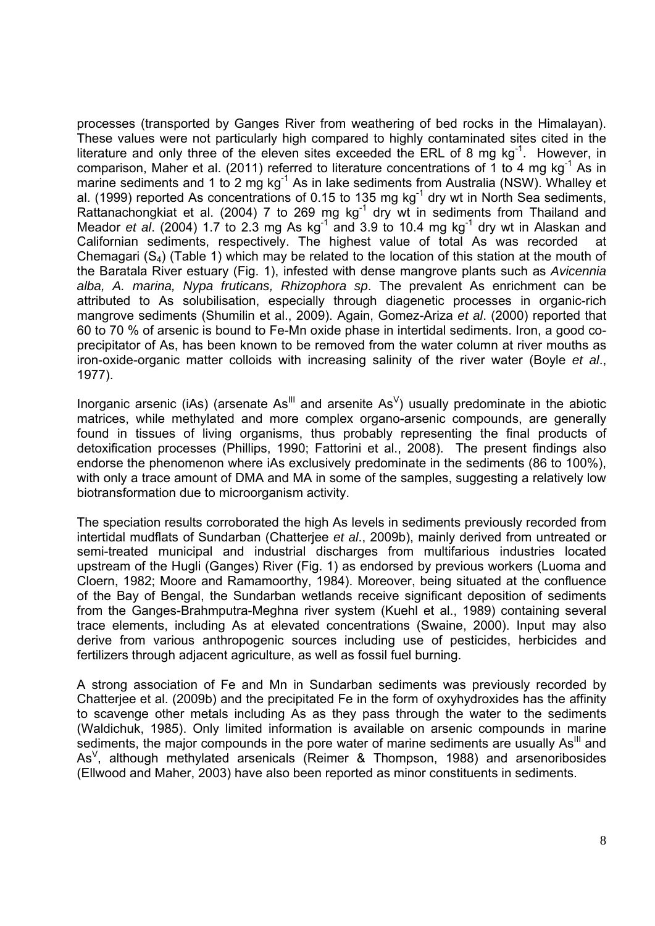processes (transported by Ganges River from weathering of bed rocks in the Himalayan). These values were not particularly high compared to highly contaminated sites cited in the literature and only three of the eleven sites exceeded the ERL of 8 mg  $kg^{-1}$ . However, in comparison, Maher et al. (2011) referred to literature concentrations of 1 to 4 mg kg<sup>-1</sup> As in marine sediments and 1 to 2 mg  $kg^{-1}$  As in lake sediments from Australia (NSW). Whalley et al. (1999) reported As concentrations of 0.15 to 135 mg  $kg^{-1}$  dry wt in North Sea sediments, Rattanachongkiat et al. (2004) 7 to 269 mg kg<sup>-1</sup> dry wt in sediments from Thailand and Meador *et al.* (2004) 1.7 to 2.3 mg As kg<sup>-1</sup> and 3.9 to 10.4 mg kg<sup>-1</sup> dry wt in Alaskan and Californian sediments, respectively. The highest value of total As was recorded at Chemagari ( $S_4$ ) (Table 1) which may be related to the location of this station at the mouth of the Baratala River estuary (Fig. 1), infested with dense mangrove plants such as *Avicennia alba, A. marina, Nypa fruticans, Rhizophora sp*. The prevalent As enrichment can be attributed to As solubilisation, especially through diagenetic processes in organic-rich mangrove sediments (Shumilin et al., 2009). Again, Gomez-Ariza *et al*. (2000) reported that 60 to 70 % of arsenic is bound to Fe-Mn oxide phase in intertidal sediments. Iron, a good coprecipitator of As, has been known to be removed from the water column at river mouths as iron-oxide-organic matter colloids with increasing salinity of the river water (Boyle *et al*., 1977).

Inorganic arsenic (iAs) (arsenate  $As^{III}$  and arsenite  $As^{V}$ ) usually predominate in the abiotic matrices, while methylated and more complex organo-arsenic compounds, are generally found in tissues of living organisms, thus probably representing the final products of detoxification processes (Phillips, 1990; Fattorini et al., 2008). The present findings also endorse the phenomenon where iAs exclusively predominate in the sediments (86 to 100%), with only a trace amount of DMA and MA in some of the samples, suggesting a relatively low biotransformation due to microorganism activity.

The speciation results corroborated the high As levels in sediments previously recorded from intertidal mudflats of Sundarban (Chatterjee *et al*., 2009b), mainly derived from untreated or semi-treated municipal and industrial discharges from multifarious industries located upstream of the Hugli (Ganges) River (Fig. 1) as endorsed by previous workers (Luoma and Cloern, 1982; Moore and Ramamoorthy, 1984). Moreover, being situated at the confluence of the Bay of Bengal, the Sundarban wetlands receive significant deposition of sediments from the Ganges-Brahmputra-Meghna river system (Kuehl et al., 1989) containing several trace elements, including As at elevated concentrations (Swaine, 2000). Input may also derive from various anthropogenic sources including use of pesticides, herbicides and fertilizers through adjacent agriculture, as well as fossil fuel burning.

A strong association of Fe and Mn in Sundarban sediments was previously recorded by Chatterjee et al. (2009b) and the precipitated Fe in the form of oxyhydroxides has the affinity to scavenge other metals including As as they pass through the water to the sediments (Waldichuk, 1985). Only limited information is available on arsenic compounds in marine sediments, the major compounds in the pore water of marine sediments are usually As<sup>III</sup> and As<sup>V</sup>, although methylated arsenicals (Reimer & Thompson, 1988) and arsenoribosides (Ellwood and Maher, 2003) have also been reported as minor constituents in sediments.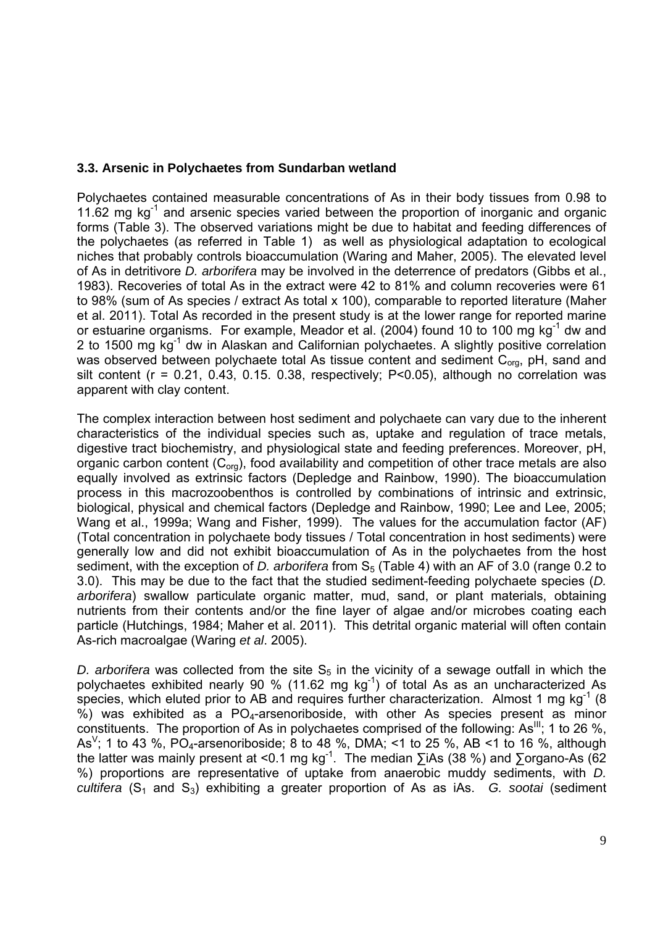# **3.3. Arsenic in Polychaetes from Sundarban wetland**

Polychaetes contained measurable concentrations of As in their body tissues from 0.98 to 11.62 mg  $kg^{-1}$  and arsenic species varied between the proportion of inorganic and organic forms (Table 3). The observed variations might be due to habitat and feeding differences of the polychaetes (as referred in Table 1) as well as physiological adaptation to ecological niches that probably controls bioaccumulation (Waring and Maher, 2005). The elevated level of As in detritivore *D. arborifera* may be involved in the deterrence of predators (Gibbs et al., 1983). Recoveries of total As in the extract were 42 to 81% and column recoveries were 61 to 98% (sum of As species / extract As total x 100), comparable to reported literature (Maher et al. 2011). Total As recorded in the present study is at the lower range for reported marine or estuarine organisms. For example, Meador et al. (2004) found 10 to 100 mg kg<sup>-1</sup> dw and 2 to 1500 mg kg<sup>-1</sup> dw in Alaskan and Californian polychaetes. A slightly positive correlation was observed between polychaete total As tissue content and sediment  $C_{\alpha\alpha}$ , pH, sand and silt content (r = 0.21, 0.43, 0.15. 0.38, respectively; P<0.05), although no correlation was apparent with clay content.

The complex interaction between host sediment and polychaete can vary due to the inherent characteristics of the individual species such as, uptake and regulation of trace metals, digestive tract biochemistry, and physiological state and feeding preferences. Moreover, pH, organic carbon content  $(C_{\text{ora}})$ , food availability and competition of other trace metals are also equally involved as extrinsic factors (Depledge and Rainbow, 1990). The bioaccumulation process in this macrozoobenthos is controlled by combinations of intrinsic and extrinsic, biological, physical and chemical factors (Depledge and Rainbow, 1990; Lee and Lee, 2005; Wang et al., 1999a; Wang and Fisher, 1999). The values for the accumulation factor (AF) (Total concentration in polychaete body tissues / Total concentration in host sediments) were generally low and did not exhibit bioaccumulation of As in the polychaetes from the host sediment, with the exception of *D. arborifera* from S<sub>5</sub> (Table 4) with an AF of 3.0 (range 0.2 to 3.0). This may be due to the fact that the studied sediment-feeding polychaete species (*D. arborifera*) swallow particulate organic matter, mud, sand, or plant materials, obtaining nutrients from their contents and/or the fine layer of algae and/or microbes coating each particle (Hutchings, 1984; Maher et al. 2011). This detrital organic material will often contain As-rich macroalgae (Waring *et al*. 2005).

*D. arborifera* was collected from the site  $S<sub>5</sub>$  in the vicinity of a sewage outfall in which the polychaetes exhibited nearly 90 % (11.62 mg kg<sup>-1</sup>) of total As as an uncharacterized As species, which eluted prior to AB and requires further characterization. Almost 1 mg kg<sup>-1</sup> (8) %) was exhibited as a  $PO<sub>4</sub>$ -arsenoriboside, with other As species present as minor constituents. The proportion of As in polychaetes comprised of the following: As<sup>III</sup>; 1 to 26 %, As<sup>V</sup>; 1 to 43 %, PO<sub>4</sub>-arsenoriboside; 8 to 48 %, DMA; <1 to 25 %, AB <1 to 16 %, although the latter was mainly present at <0.1 mg kg<sup>-1</sup>. The median ∑iAs (38 %) and ∑organo-As (62 %) proportions are representative of uptake from anaerobic muddy sediments, with *D. cultifera* (S1 and S3) exhibiting a greater proportion of As as iAs. *G. sootai* (sediment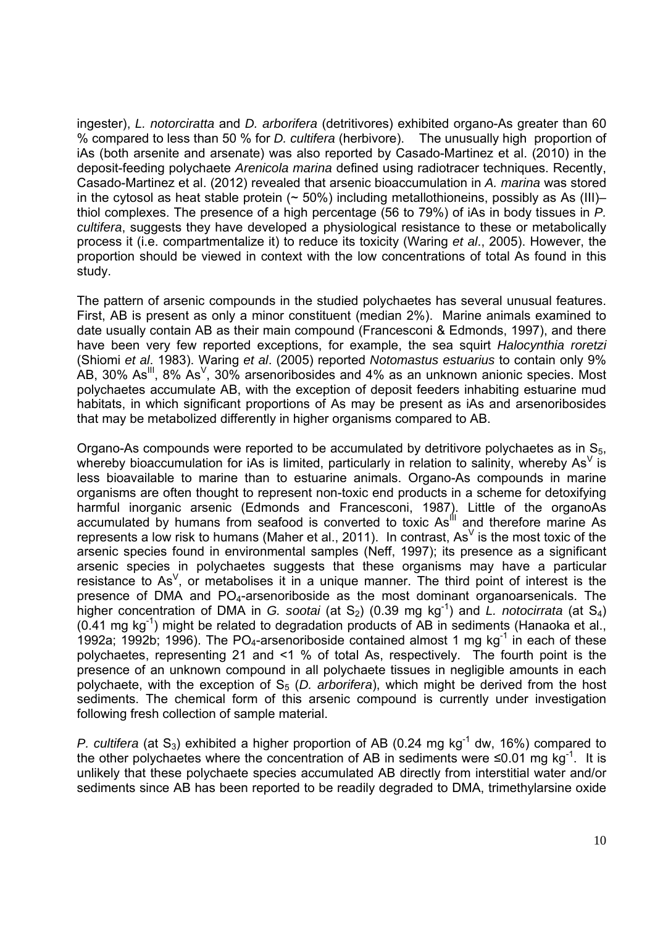ingester), *L. notorciratta* and *D. arborifera* (detritivores) exhibited organo-As greater than 60 % compared to less than 50 % for *D. cultifera* (herbivore). The unusually high proportion of iAs (both arsenite and arsenate) was also reported by Casado-Martinez et al. (2010) in the deposit-feeding polychaete *Arenicola marina* defined using radiotracer techniques. Recently, Casado-Martinez et al. (2012) revealed that arsenic bioaccumulation in *A. marina* was stored in the cytosol as heat stable protein  $($   $\sim$  50%) including metallothioneins, possibly as As (III)– thiol complexes. The presence of a high percentage (56 to 79%) of iAs in body tissues in *P. cultifera*, suggests they have developed a physiological resistance to these or metabolically process it (i.e. compartmentalize it) to reduce its toxicity (Waring *et al*., 2005). However, the proportion should be viewed in context with the low concentrations of total As found in this study.

The pattern of arsenic compounds in the studied polychaetes has several unusual features. First, AB is present as only a minor constituent (median 2%). Marine animals examined to date usually contain AB as their main compound (Francesconi & Edmonds, 1997), and there have been very few reported exceptions, for example, the sea squirt *Halocynthia roretzi* (Shiomi *et al*. 1983). Waring *et al*. (2005) reported *Notomastus estuarius* to contain only 9%  $AB$ , 30% As<sup>III</sup>, 8% As<sup>V</sup>, 30% arsenoribosides and 4% as an unknown anionic species. Most polychaetes accumulate AB, with the exception of deposit feeders inhabiting estuarine mud habitats, in which significant proportions of As may be present as iAs and arsenoribosides that may be metabolized differently in higher organisms compared to AB.

Organo-As compounds were reported to be accumulated by detritivore polychaetes as in  $S_5$ , whereby bioaccumulation for iAs is limited, particularly in relation to salinity, whereby As<sup>V</sup> is less bioavailable to marine than to estuarine animals. Organo-As compounds in marine organisms are often thought to represent non-toxic end products in a scheme for detoxifying harmful inorganic arsenic (Edmonds and Francesconi, 1987). Little of the organoAs accumulated by humans from seafood is converted to toxic As<sup>III</sup> and therefore marine As represents a low risk to humans (Maher et al., 2011). In contrast,  $As<sup>V</sup>$  is the most toxic of the arsenic species found in environmental samples (Neff, 1997); its presence as a significant arsenic species in polychaetes suggests that these organisms may have a particular resistance to  $As<sup>V</sup>$ , or metabolises it in a unique manner. The third point of interest is the presence of DMA and  $PO<sub>4</sub>$ -arsenoriboside as the most dominant organoarsenicals. The higher concentration of DMA in *G. sootai* (at  $S_2$ ) (0.39 mg kg<sup>-1</sup>) and *L. notocirrata* (at  $S_4$ )  $(0.41 \text{ mg kg}^{-1})$  might be related to degradation products of AB in sediments (Hanaoka et al., 1992a; 1992b; 1996). The PO<sub>4</sub>-arsenoriboside contained almost 1 mg kg<sup>-1</sup> in each of these polychaetes, representing 21 and <1 % of total As, respectively. The fourth point is the presence of an unknown compound in all polychaete tissues in negligible amounts in each polychaete, with the exception of  $S<sub>5</sub>$  (*D. arborifera*), which might be derived from the host sediments. The chemical form of this arsenic compound is currently under investigation following fresh collection of sample material.

*P. cultifera* (at S<sub>3</sub>) exhibited a higher proportion of AB (0.24 mg kg<sup>-1</sup> dw, 16%) compared to the other polychaetes where the concentration of AB in sediments were  $\leq 0.01$  mg kg<sup>-1</sup>. It is unlikely that these polychaete species accumulated AB directly from interstitial water and/or sediments since AB has been reported to be readily degraded to DMA, trimethylarsine oxide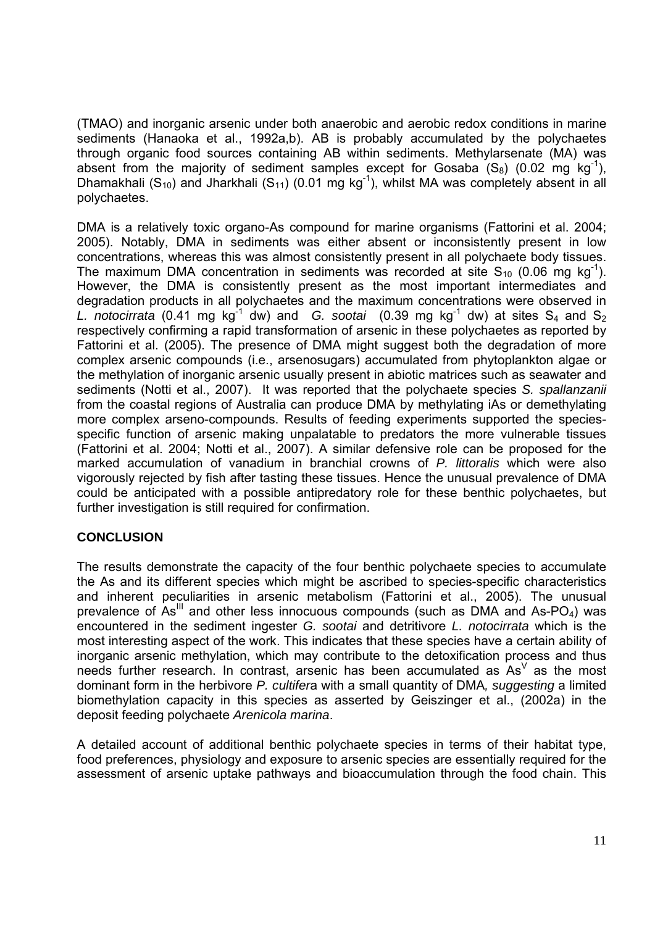(TMAO) and inorganic arsenic under both anaerobic and aerobic redox conditions in marine sediments (Hanaoka et al., 1992a,b). AB is probably accumulated by the polychaetes through organic food sources containing AB within sediments. Methylarsenate (MA) was absent from the majority of sediment samples except for Gosaba  $(S_8)$  (0.02 mg kg<sup>-1</sup>), Dhamakhali (S<sub>10</sub>) and Jharkhali (S<sub>11</sub>) (0.01 mg kg<sup>-1</sup>), whilst MA was completely absent in all polychaetes.

DMA is a relatively toxic organo-As compound for marine organisms (Fattorini et al. 2004; 2005). Notably, DMA in sediments was either absent or inconsistently present in low concentrations, whereas this was almost consistently present in all polychaete body tissues. The maximum DMA concentration in sediments was recorded at site  $S_{10}$  (0.06 mg kg<sup>-1</sup>). However, the DMA is consistently present as the most important intermediates and degradation products in all polychaetes and the maximum concentrations were observed in *L. notocirrata* (0.41 mg kg<sup>-1</sup> dw) and *G. sootai* (0.39 mg kg<sup>-1</sup> dw) at sites S<sub>4</sub> and S<sub>2</sub> respectively confirming a rapid transformation of arsenic in these polychaetes as reported by Fattorini et al. (2005). The presence of DMA might suggest both the degradation of more complex arsenic compounds (i.e., arsenosugars) accumulated from phytoplankton algae or the methylation of inorganic arsenic usually present in abiotic matrices such as seawater and sediments (Notti et al., 2007). It was reported that the polychaete species *S. spallanzanii*  from the coastal regions of Australia can produce DMA by methylating iAs or demethylating more complex arseno-compounds. Results of feeding experiments supported the speciesspecific function of arsenic making unpalatable to predators the more vulnerable tissues (Fattorini et al. 2004; Notti et al., 2007). A similar defensive role can be proposed for the marked accumulation of vanadium in branchial crowns of *P. littoralis* which were also vigorously rejected by fish after tasting these tissues. Hence the unusual prevalence of DMA could be anticipated with a possible antipredatory role for these benthic polychaetes, but further investigation is still required for confirmation.

## **CONCLUSION**

The results demonstrate the capacity of the four benthic polychaete species to accumulate the As and its different species which might be ascribed to species-specific characteristics and inherent peculiarities in arsenic metabolism (Fattorini et al., 2005). The unusual prevalence of  $As<sup>III</sup>$  and other less innocuous compounds (such as DMA and As-PO<sub>4</sub>) was encountered in the sediment ingester *G. sootai* and detritivore *L. notocirrata* which is the most interesting aspect of the work. This indicates that these species have a certain ability of inorganic arsenic methylation, which may contribute to the detoxification process and thus needs further research. In contrast, arsenic has been accumulated as  $As<sup>V</sup>$  as the most dominant form in the herbivore *P. cultifer*a with a small quantity of DMA*, suggesting* a limited biomethylation capacity in this species as asserted by Geiszinger et al., (2002a) in the deposit feeding polychaete *Arenicola marina*.

A detailed account of additional benthic polychaete species in terms of their habitat type, food preferences, physiology and exposure to arsenic species are essentially required for the assessment of arsenic uptake pathways and bioaccumulation through the food chain. This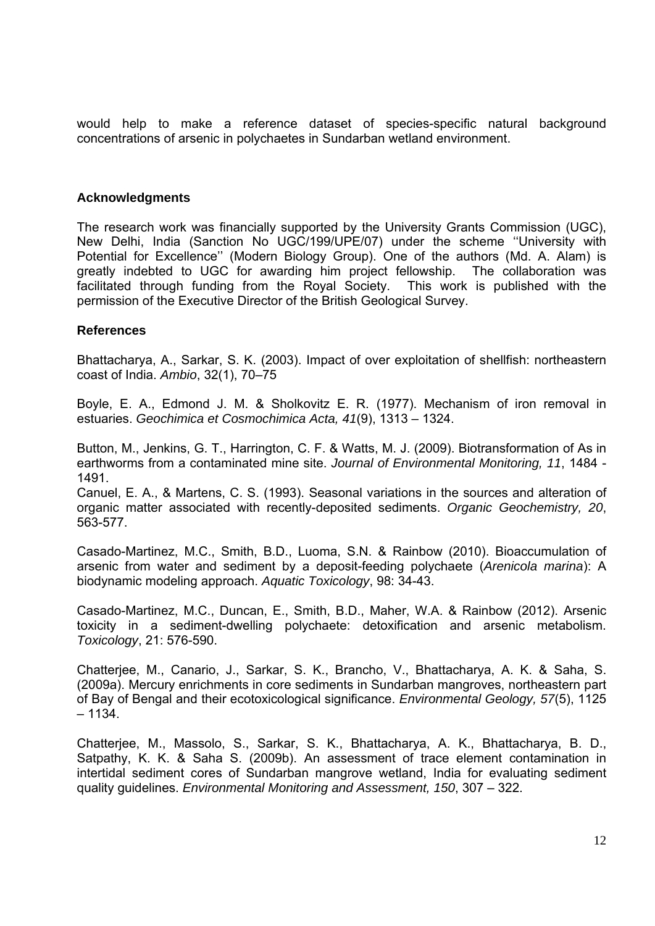would help to make a reference dataset of species-specific natural background concentrations of arsenic in polychaetes in Sundarban wetland environment.

#### **Acknowledgments**

The research work was financially supported by the University Grants Commission (UGC), New Delhi, India (Sanction No UGC/199/UPE/07) under the scheme ''University with Potential for Excellence'' (Modern Biology Group). One of the authors (Md. A. Alam) is greatly indebted to UGC for awarding him project fellowship. The collaboration was facilitated through funding from the Royal Society. This work is published with the permission of the Executive Director of the British Geological Survey.

#### **References**

Bhattacharya, A., Sarkar, S. K. (2003). Impact of over exploitation of shellfish: northeastern coast of India. *Ambio*, 32(1), 70–75

Boyle, E. A., Edmond J. M. & Sholkovitz E. R. (1977). Mechanism of iron removal in estuaries. *Geochimica et Cosmochimica Acta, 41*(9), 1313 – 1324.

Button, M., Jenkins, G. T., Harrington, C. F. & Watts, M. J. (2009). Biotransformation of As in earthworms from a contaminated mine site. *Journal of Environmental Monitoring, 11*, 1484 - 1491.

Canuel, E. A., & Martens, C. S. (1993). Seasonal variations in the sources and alteration of organic matter associated with recently-deposited sediments. *Organic Geochemistry, 20*, 563-577.

Casado-Martinez, M.C., Smith, B.D., Luoma, S.N. & Rainbow (2010). Bioaccumulation of arsenic from water and sediment by a deposit-feeding polychaete (*Arenicola marina*): A biodynamic modeling approach. *Aquatic Toxicology*, 98: 34-43.

Casado-Martinez, M.C., Duncan, E., Smith, B.D., Maher, W.A. & Rainbow (2012). Arsenic toxicity in a sediment-dwelling polychaete: detoxification and arsenic metabolism. *Toxicology*, 21: 576-590.

Chatterjee, M., Canario, J., Sarkar, S. K., Brancho, V., Bhattacharya, A. K. & Saha, S. (2009a). Mercury enrichments in core sediments in Sundarban mangroves, northeastern part of Bay of Bengal and their ecotoxicological significance. *Environmental Geology, 57*(5), 1125  $-1134.$ 

Chatterjee, M., Massolo, S., Sarkar, S. K., Bhattacharya, A. K., Bhattacharya, B. D., Satpathy, K. K. & Saha S. (2009b). An assessment of trace element contamination in intertidal sediment cores of Sundarban mangrove wetland, India for evaluating sediment quality guidelines. *Environmental Monitoring and Assessment, 150*, 307 – 322.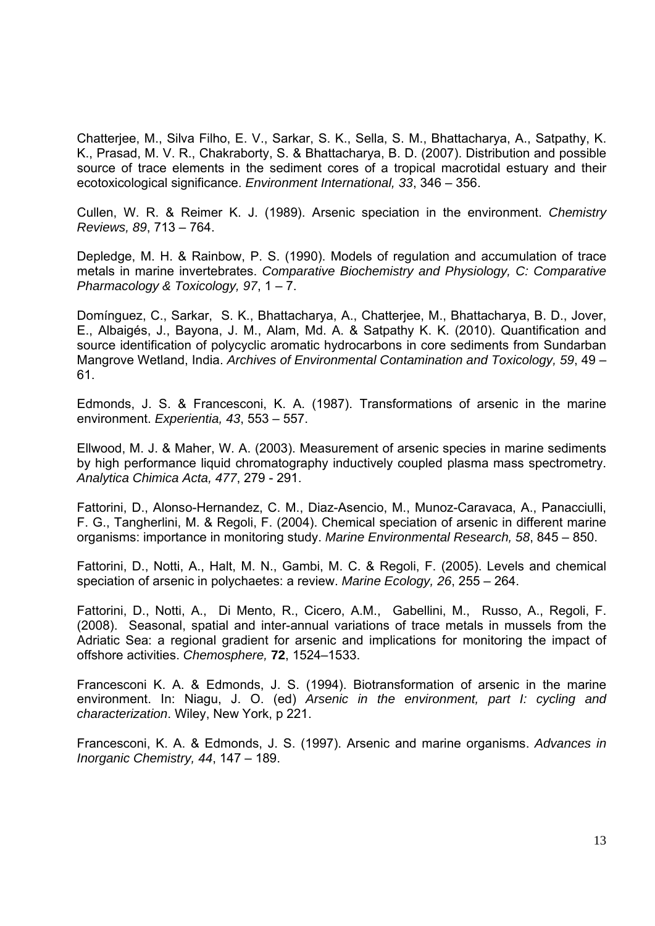Chatterjee, M., Silva Filho, E. V., Sarkar, S. K., Sella, S. M., Bhattacharya, A., Satpathy, K. K., Prasad, M. V. R., Chakraborty, S. & Bhattacharya, B. D. (2007). Distribution and possible source of trace elements in the sediment cores of a tropical macrotidal estuary and their ecotoxicological significance. *Environment International, 33*, 346 – 356.

Cullen, W. R. & Reimer K. J. (1989). Arsenic speciation in the environment. *Chemistry Reviews, 89*, 713 – 764.

Depledge, M. H. & Rainbow, P. S. (1990). Models of regulation and accumulation of trace metals in marine invertebrates. *Comparative Biochemistry and Physiology, C: Comparative Pharmacology & Toxicology, 97*, 1 – 7.

Domínguez, C., Sarkar, S. K., Bhattacharya, A., Chatterjee, M., Bhattacharya, B. D., Jover, E., Albaigés, J., Bayona, J. M., Alam, Md. A. & Satpathy K. K. (2010). Quantification and source identification of polycyclic aromatic hydrocarbons in core sediments from Sundarban Mangrove Wetland, India. *Archives of Environmental Contamination and Toxicology, 59*, 49 – 61.

Edmonds, J. S. & Francesconi, K. A. (1987). Transformations of arsenic in the marine environment. *Experientia, 43*, 553 – 557.

Ellwood, M. J. & Maher, W. A. (2003). Measurement of arsenic species in marine sediments by high performance liquid chromatography inductively coupled plasma mass spectrometry. *Analytica Chimica Acta, 477*, 279 - 291.

Fattorini, D., Alonso-Hernandez, C. M., Diaz-Asencio, M., Munoz-Caravaca, A., Panacciulli, F. G., Tangherlini, M. & Regoli, F. (2004). Chemical speciation of arsenic in different marine organisms: importance in monitoring study. *Marine Environmental Research, 58*, 845 – 850.

Fattorini, D., Notti, A., Halt, M. N., Gambi, M. C. & Regoli, F. (2005). Levels and chemical speciation of arsenic in polychaetes: a review. *Marine Ecology, 26*, 255 – 264.

Fattorini, D., Notti, A., Di Mento, R., Cicero, A.M., Gabellini, M., Russo, A., Regoli, F. (2008). Seasonal, spatial and inter-annual variations of trace metals in mussels from the Adriatic Sea: a regional gradient for arsenic and implications for monitoring the impact of offshore activities. *Chemosphere,* **72**, 1524–1533.

Francesconi K. A. & Edmonds, J. S. (1994). Biotransformation of arsenic in the marine environment. In: Niagu, J. O. (ed) *Arsenic in the environment, part I: cycling and characterization*. Wiley, New York, p 221.

Francesconi, K. A. & Edmonds, J. S. (1997). Arsenic and marine organisms. *Advances in Inorganic Chemistry, 44*, 147 – 189.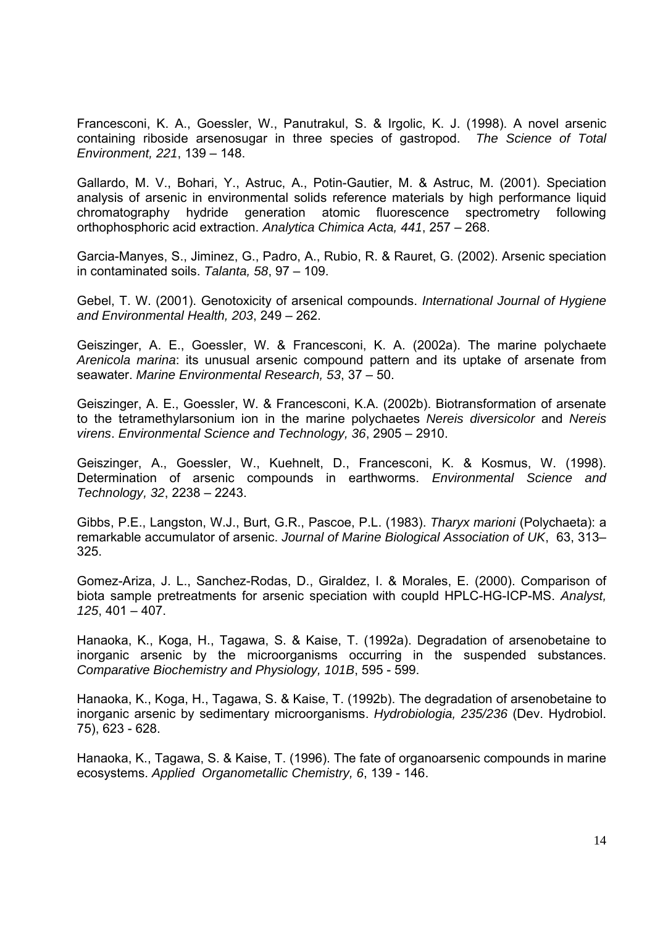Francesconi, K. A., Goessler, W., Panutrakul, S. & Irgolic, K. J. (1998). A novel arsenic containing riboside arsenosugar in three species of gastropod. *The Science of Total Environment, 221*, 139 – 148.

Gallardo, M. V., Bohari, Y., Astruc, A., Potin-Gautier, M. & Astruc, M. (2001). Speciation analysis of arsenic in environmental solids reference materials by high performance liquid chromatography hydride generation atomic fluorescence spectrometry following orthophosphoric acid extraction. *Analytica Chimica Acta, 441*, 257 – 268.

Garcia-Manyes, S., Jiminez, G., Padro, A., Rubio, R. & Rauret, G. (2002). Arsenic speciation in contaminated soils. *Talanta, 58*, 97 – 109.

Gebel, T. W. (2001). Genotoxicity of arsenical compounds. *International Journal of Hygiene and Environmental Health, 203*, 249 – 262.

Geiszinger, A. E., Goessler, W. & Francesconi, K. A. (2002a). The marine polychaete *Arenicola marina*: its unusual arsenic compound pattern and its uptake of arsenate from seawater. *Marine Environmental Research, 53*, 37 – 50.

Geiszinger, A. E., Goessler, W. & Francesconi, K.A. (2002b). Biotransformation of arsenate to the tetramethylarsonium ion in the marine polychaetes *Nereis diversicolor* and *Nereis virens*. *Environmental Science and Technology, 36*, 2905 – 2910.

Geiszinger, A., Goessler, W., Kuehnelt, D., Francesconi, K. & Kosmus, W. (1998). Determination of arsenic compounds in earthworms. *Environmental Science and Technology, 32*, 2238 – 2243.

Gibbs, P.E., Langston, W.J., Burt, G.R., Pascoe, P.L. (1983). *Tharyx marioni* (Polychaeta): a remarkable accumulator of arsenic. *Journal of Marine Biological Association of UK*, 63, 313– 325.

Gomez-Ariza, J. L., Sanchez-Rodas, D., Giraldez, I. & Morales, E. (2000). Comparison of biota sample pretreatments for arsenic speciation with coupld HPLC-HG-ICP-MS. *Analyst, 125*, 401 – 407.

Hanaoka, K., Koga, H., Tagawa, S. & Kaise, T. (1992a). Degradation of arsenobetaine to inorganic arsenic by the microorganisms occurring in the suspended substances. *Comparative Biochemistry and Physiology, 101B*, 595 - 599.

Hanaoka, K., Koga, H., Tagawa, S. & Kaise, T. (1992b). The degradation of arsenobetaine to inorganic arsenic by sedimentary microorganisms. *Hydrobiologia, 235/236* (Dev. Hydrobiol. 75), 623 - 628.

Hanaoka, K., Tagawa, S. & Kaise, T. (1996). The fate of organoarsenic compounds in marine ecosystems. *Applied Organometallic Chemistry, 6*, 139 - 146.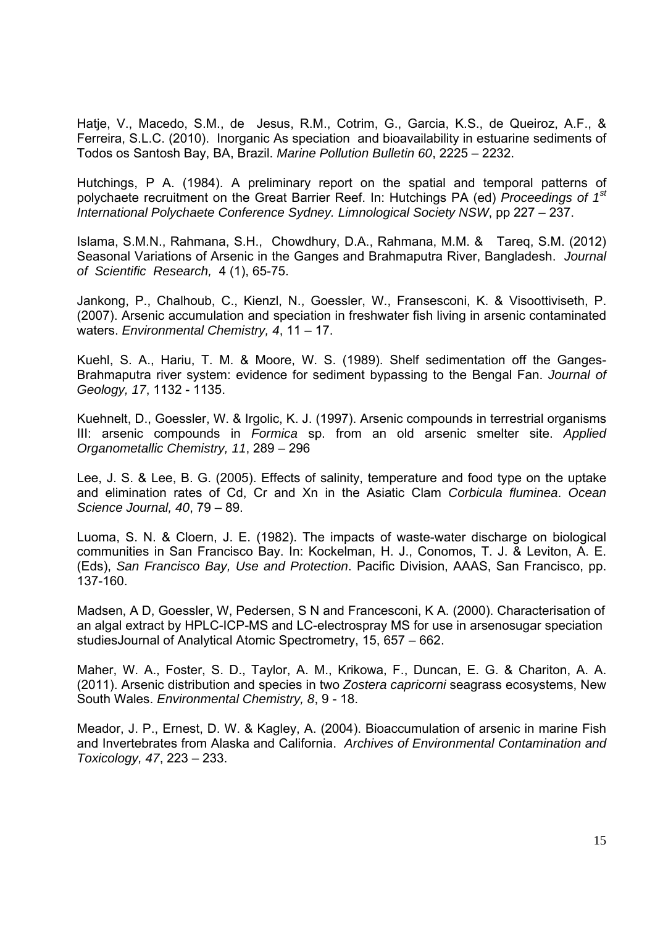Hatje, V., Macedo, S.M., de Jesus, R.M., Cotrim, G., Garcia, K.S., de Queiroz, A.F., & Ferreira, S.L.C. (2010). Inorganic As speciation and bioavailability in estuarine sediments of Todos os Santosh Bay, BA, Brazil. *Marine Pollution Bulletin 60*, 2225 – 2232.

Hutchings, P A. (1984). A preliminary report on the spatial and temporal patterns of polychaete recruitment on the Great Barrier Reef. In: Hutchings PA (ed) *Proceedings of 1st International Polychaete Conference Sydney. Limnological Society NSW*, pp 227 – 237.

Islama, S.M.N., Rahmana, S.H., Chowdhury, D.A., Rahmana, M.M. & Tareq, S.M. (2012) Seasonal Variations of Arsenic in the Ganges and Brahmaputra River, Bangladesh. *Journal of Scientific Research,* 4 (1), 65-75.

Jankong, P., Chalhoub, C., Kienzl, N., Goessler, W., Fransesconi, K. & Visoottiviseth, P. (2007). Arsenic accumulation and speciation in freshwater fish living in arsenic contaminated waters. *Environmental Chemistry, 4*, 11 – 17.

Kuehl, S. A., Hariu, T. M. & Moore, W. S. (1989). Shelf sedimentation off the Ganges-Brahmaputra river system: evidence for sediment bypassing to the Bengal Fan. *Journal of Geology, 17*, 1132 - 1135.

Kuehnelt, D., Goessler, W. & Irgolic, K. J. (1997). Arsenic compounds in terrestrial organisms III: arsenic compounds in *Formica* sp. from an old arsenic smelter site. *Applied Organometallic Chemistry, 11*, 289 – 296

Lee, J. S. & Lee, B. G. (2005). Effects of salinity, temperature and food type on the uptake and elimination rates of Cd, Cr and Xn in the Asiatic Clam *Corbicula fluminea*. *Ocean Science Journal, 40*, 79 – 89.

Luoma, S. N. & Cloern, J. E. (1982). The impacts of waste-water discharge on biological communities in San Francisco Bay. In: Kockelman, H. J., Conomos, T. J. & Leviton, A. E. (Eds), *San Francisco Bay, Use and Protection*. Pacific Division, AAAS, San Francisco, pp. 137-160.

Madsen, A D, Goessler, W, Pedersen, S N and Francesconi, K A. (2000). Characterisation of an algal extract by HPLC-ICP-MS and LC-electrospray MS for use in arsenosugar speciation studiesJournal of Analytical Atomic Spectrometry, 15, 657 – 662.

Maher, W. A., Foster, S. D., Taylor, A. M., Krikowa, F., Duncan, E. G. & Chariton, A. A. (2011). Arsenic distribution and species in two *Zostera capricorni* seagrass ecosystems, New South Wales. *Environmental Chemistry, 8*, 9 - 18.

Meador, J. P., Ernest, D. W. & Kagley, A. (2004). Bioaccumulation of arsenic in marine Fish and Invertebrates from Alaska and California. *Archives of Environmental Contamination and Toxicology, 47*, 223 – 233.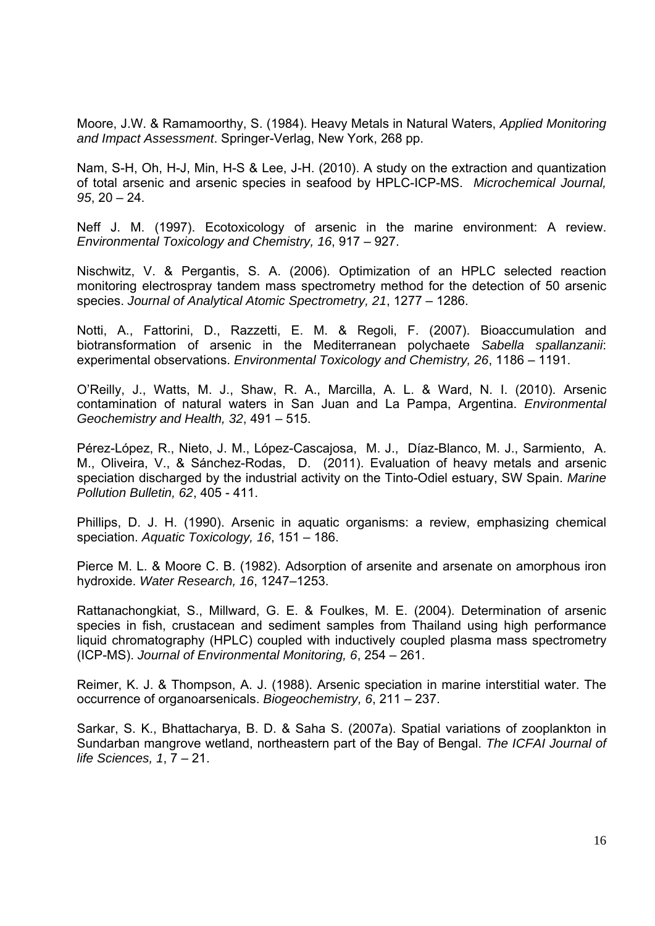Moore, J.W. & Ramamoorthy, S. (1984). Heavy Metals in Natural Waters, *Applied Monitoring and Impact Assessment*. Springer-Verlag, New York, 268 pp.

Nam, S-H, Oh, H-J, Min, H-S & Lee, J-H. (2010). A study on the extraction and quantization of total arsenic and arsenic species in seafood by HPLC-ICP-MS. *Microchemical Journal, 95*, 20 – 24.

Neff J. M. (1997). Ecotoxicology of arsenic in the marine environment: A review. *Environmental Toxicology and Chemistry, 16*, 917 – 927.

Nischwitz, V. & Pergantis, S. A. (2006). Optimization of an HPLC selected reaction monitoring electrospray tandem mass spectrometry method for the detection of 50 arsenic species. *Journal of Analytical Atomic Spectrometry, 21*, 1277 – 1286.

Notti, A., Fattorini, D., Razzetti, E. M. & Regoli, F. (2007). Bioaccumulation and biotransformation of arsenic in the Mediterranean polychaete *Sabella spallanzanii*: experimental observations. *Environmental Toxicology and Chemistry, 26*, 1186 – 1191.

O'Reilly, J., Watts, M. J., Shaw, R. A., Marcilla, A. L. & Ward, N. I. (2010). Arsenic contamination of natural waters in San Juan and La Pampa, Argentina. *Environmental Geochemistry and Health, 32*, 491 – 515.

Pérez-López, R., Nieto, J. M., López-Cascajosa, M. J., Díaz-Blanco, M. J., Sarmiento, A. M., Oliveira, V., & Sánchez-Rodas, D. (2011). Evaluation of heavy metals and arsenic speciation discharged by the industrial activity on the Tinto-Odiel estuary, SW Spain. *Marine Pollution Bulletin, 62*, 405 - 411.

Phillips, D. J. H. (1990). Arsenic in aquatic organisms: a review, emphasizing chemical speciation. *Aquatic Toxicology, 16*, 151 – 186.

Pierce M. L. & Moore C. B. (1982). Adsorption of arsenite and arsenate on amorphous iron hydroxide. *Water Research, 16*, 1247–1253.

Rattanachongkiat, S., Millward, G. E. & Foulkes, M. E. (2004). Determination of arsenic species in fish, crustacean and sediment samples from Thailand using high performance liquid chromatography (HPLC) coupled with inductively coupled plasma mass spectrometry (ICP-MS). *Journal of Environmental Monitoring, 6*, 254 – 261.

Reimer, K. J. & Thompson, A. J. (1988). Arsenic speciation in marine interstitial water. The occurrence of organoarsenicals. *Biogeochemistry, 6*, 211 – 237.

Sarkar, S. K., Bhattacharya, B. D. & Saha S. (2007a). Spatial variations of zooplankton in Sundarban mangrove wetland, northeastern part of the Bay of Bengal. *The ICFAI Journal of life Sciences, 1*, 7 – 21.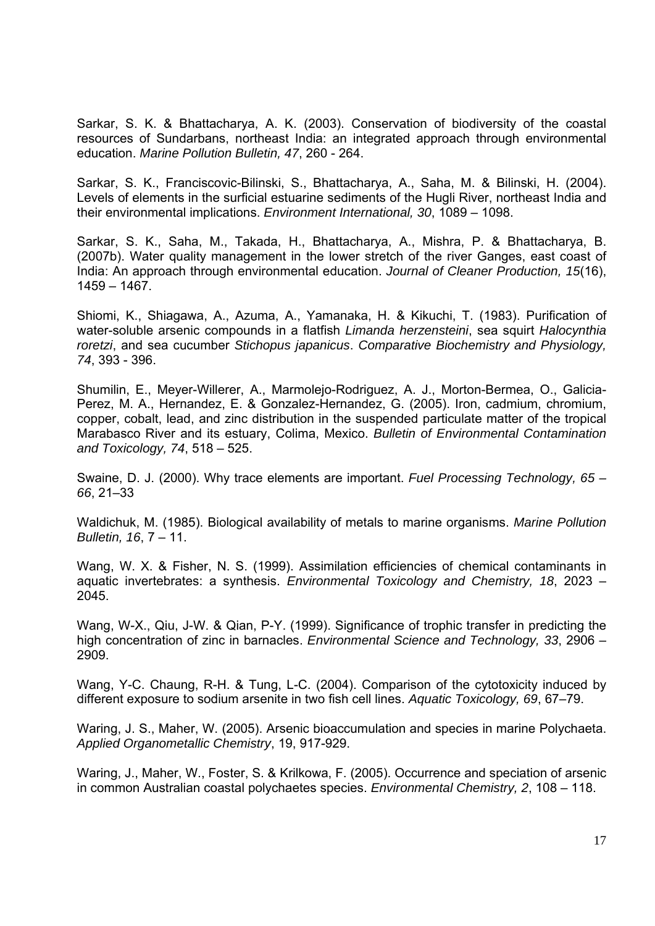Sarkar, S. K. & Bhattacharya, A. K. (2003). Conservation of biodiversity of the coastal resources of Sundarbans, northeast India: an integrated approach through environmental education. *Marine Pollution Bulletin, 47*, 260 - 264.

Sarkar, S. K., Franciscovic-Bilinski, S., Bhattacharya, A., Saha, M. & Bilinski, H. (2004). Levels of elements in the surficial estuarine sediments of the Hugli River, northeast India and their environmental implications. *Environment International, 30*, 1089 – 1098.

Sarkar, S. K., Saha, M., Takada, H., Bhattacharya, A., Mishra, P. & Bhattacharya, B. (2007b). Water quality management in the lower stretch of the river Ganges, east coast of India: An approach through environmental education. *Journal of Cleaner Production, 15*(16), 1459 – 1467.

Shiomi, K., Shiagawa, A., Azuma, A., Yamanaka, H. & Kikuchi, T. (1983). Purification of water-soluble arsenic compounds in a flatfish *Limanda herzensteini*, sea squirt *Halocynthia roretzi*, and sea cucumber *Stichopus japanicus*. *Comparative Biochemistry and Physiology, 74*, 393 - 396.

Shumilin, E., Meyer-Willerer, A., Marmolejo-Rodriguez, A. J., Morton-Bermea, O., Galicia-Perez, M. A., Hernandez, E. & Gonzalez-Hernandez, G. (2005). Iron, cadmium, chromium, copper, cobalt, lead, and zinc distribution in the suspended particulate matter of the tropical Marabasco River and its estuary, Colima, Mexico. *Bulletin of Environmental Contamination and Toxicology, 74*, 518 – 525.

Swaine, D. J. (2000). Why trace elements are important. *Fuel Processing Technology, 65 – 66*, 21–33

Waldichuk, M. (1985). Biological availability of metals to marine organisms. *Marine Pollution Bulletin, 16*, 7 – 11.

Wang, W. X. & Fisher, N. S. (1999). Assimilation efficiencies of chemical contaminants in aquatic invertebrates: a synthesis. *Environmental Toxicology and Chemistry, 18*, 2023 – 2045.

Wang, W-X., Qiu, J-W. & Qian, P-Y. (1999). Significance of trophic transfer in predicting the high concentration of zinc in barnacles. *Environmental Science and Technology, 33*, 2906 – 2909.

Wang, Y-C. Chaung, R-H. & Tung, L-C. (2004). Comparison of the cytotoxicity induced by different exposure to sodium arsenite in two fish cell lines. *Aquatic Toxicology, 69*, 67–79.

Waring, J. S., Maher, W. (2005). Arsenic bioaccumulation and species in marine Polychaeta. *Applied Organometallic Chemistry*, 19, 917-929.

Waring, J., Maher, W., Foster, S. & Krilkowa, F. (2005). Occurrence and speciation of arsenic in common Australian coastal polychaetes species. *Environmental Chemistry, 2*, 108 – 118.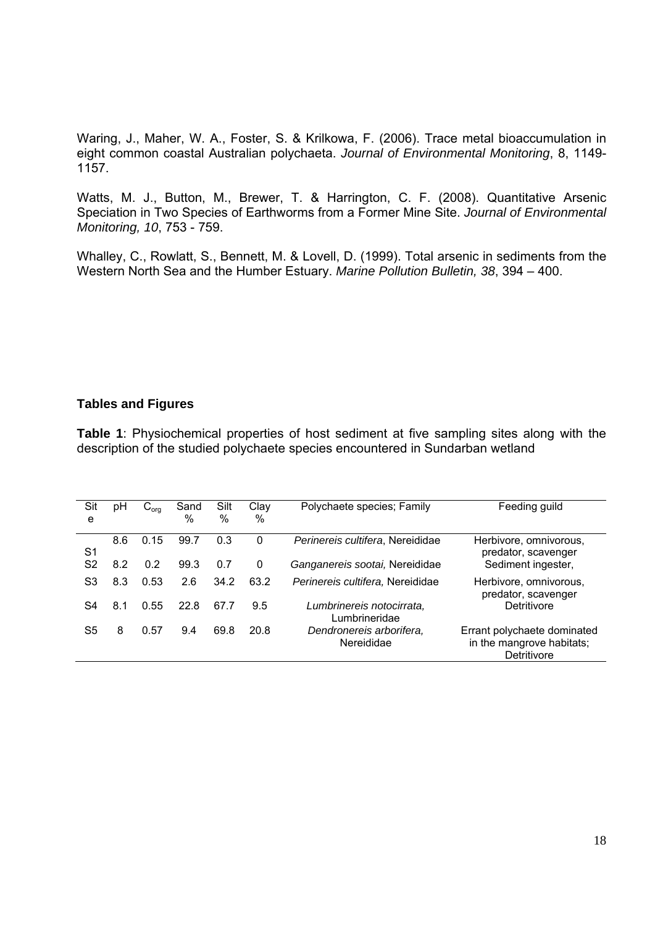Waring, J., Maher, W. A., Foster, S. & Krilkowa, F. (2006). Trace metal bioaccumulation in eight common coastal Australian polychaeta. *Journal of Environmental Monitoring*, 8, 1149- 1157.

Watts, M. J., Button, M., Brewer, T. & Harrington, C. F. (2008). Quantitative Arsenic Speciation in Two Species of Earthworms from a Former Mine Site. *Journal of Environmental Monitoring, 10*, 753 - 759.

Whalley, C., Rowlatt, S., Bennett, M. & Lovell, D. (1999). Total arsenic in sediments from the Western North Sea and the Humber Estuary. *Marine Pollution Bulletin, 38*, 394 – 400.

#### **Tables and Figures**

**Table 1**: Physiochemical properties of host sediment at five sampling sites along with the description of the studied polychaete species encountered in Sundarban wetland

| Sit<br>e | рH  | $C_{\text{org}}$ | Sand<br>$\%$ | Silt<br>% | Clav<br>% | Polychaete species; Family                 | Feeding guild                                                           |
|----------|-----|------------------|--------------|-----------|-----------|--------------------------------------------|-------------------------------------------------------------------------|
| S1       | 8.6 | 0.15             | 99.7         | 0.3       | 0         | Perinereis cultifera, Nereididae           | Herbivore, omnivorous,<br>predator, scavenger                           |
| S2       | 8.2 | 0.2              | 99.3         | 0.7       | 0         | Ganganereis sootai, Nereididae             | Sediment ingester,                                                      |
| S3       | 8.3 | 0.53             | 2.6          | 34.2      | 63.2      | Perinereis cultifera, Nereididae           | Herbivore, omnivorous,<br>predator, scavenger                           |
| S4       | 8.1 | 0.55             | 22.8         | 67.7      | 9.5       | Lumbrinereis notocirrata,<br>Lumbrineridae | Detritivore                                                             |
| S5       | 8   | 0.57             | 9.4          | 69.8      | 20.8      | Dendronereis arborifera,<br>Nereididae     | Errant polychaete dominated<br>in the mangrove habitats;<br>Detritivore |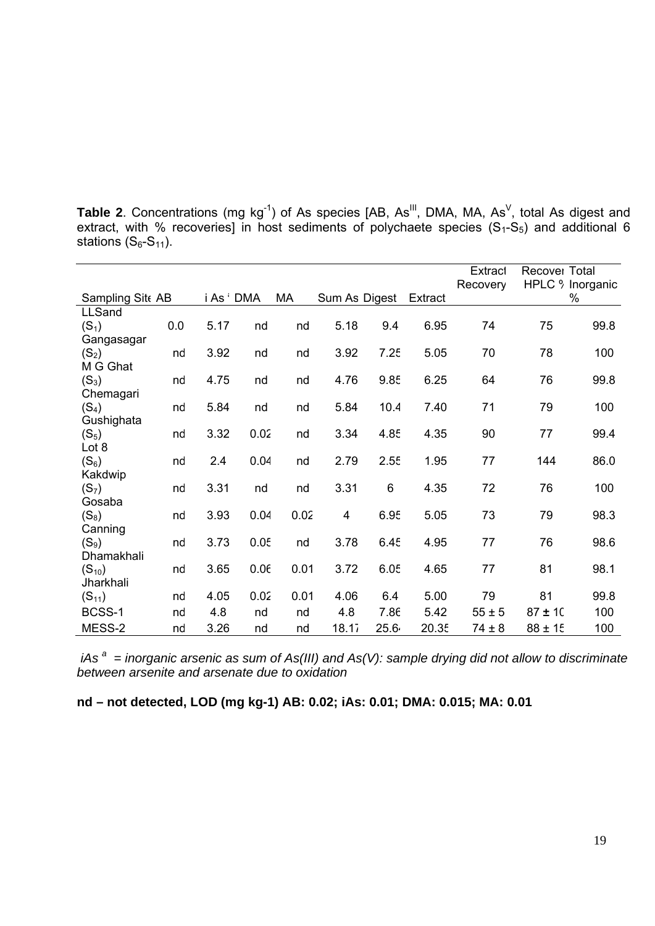|                       |     |          |      |      |                |      |         | <b>Extract</b> | Recover Total<br>HPLC 9 Inorganic |      |
|-----------------------|-----|----------|------|------|----------------|------|---------|----------------|-----------------------------------|------|
| Sampling Site AB      |     | i As DMA |      | МA   | Sum As Digest  |      | Extract | Recovery       |                                   | $\%$ |
| <b>LLSand</b>         |     |          |      |      |                |      |         |                |                                   |      |
| $(S_1)$               | 0.0 | 5.17     | nd   | nd   | 5.18           | 9.4  | 6.95    | 74             | 75                                | 99.8 |
| Gangasagar            |     |          |      |      |                |      |         |                |                                   |      |
| $(S_2)$               | nd  | 3.92     | nd   | nd   | 3.92           | 7.25 | 5.05    | 70             | 78                                | 100  |
| M G Ghat              |     |          |      |      |                |      |         |                |                                   |      |
| $(S_3)$               | nd  | 4.75     | nd   | nd   | 4.76           | 9.85 | 6.25    | 64             | 76                                | 99.8 |
| Chemagari             |     |          |      |      |                |      |         | 71             | 79                                |      |
| $(S_4)$<br>Gushighata | nd  | 5.84     | nd   | nd   | 5.84           | 10.4 | 7.40    |                |                                   | 100  |
| $(S_5)$               | nd  | 3.32     | 0.02 | nd   | 3.34           | 4.85 | 4.35    | 90             | 77                                | 99.4 |
| Lot 8                 |     |          |      |      |                |      |         |                |                                   |      |
| $(S_6)$               | nd  | 2.4      | 0.04 | nd   | 2.79           | 2.55 | 1.95    | 77             | 144                               | 86.0 |
| Kakdwip               |     |          |      |      |                |      |         |                |                                   |      |
| $(S_7)$               | nd  | 3.31     | nd   | nd   | 3.31           | 6    | 4.35    | 72             | 76                                | 100  |
| Gosaba                |     |          |      |      |                |      |         |                |                                   |      |
| $(S_8)$               | nd  | 3.93     | 0.04 | 0.02 | $\overline{4}$ | 6.95 | 5.05    | 73             | 79                                | 98.3 |
| Canning               |     |          |      |      |                |      |         |                |                                   |      |
| $(S_9)$               | nd  | 3.73     | 0.05 | nd   | 3.78           | 6.45 | 4.95    | 77             | 76                                | 98.6 |
| Dhamakhali            |     |          |      |      |                |      |         |                |                                   |      |
| $(S_{10})$            | nd  | 3.65     | 0.06 | 0.01 | 3.72           | 6.05 | 4.65    | 77             | 81                                | 98.1 |
| Jharkhali             |     |          |      |      |                |      |         |                |                                   |      |
| $(S_{11})$            | nd  | 4.05     | 0.02 | 0.01 | 4.06           | 6.4  | 5.00    | 79             | 81                                | 99.8 |
| BCSS-1                | nd  | 4.8      | nd   | nd   | 4.8            | 7.86 | 5.42    | $55 \pm 5$     | $87 + 10$                         | 100  |
| MESS-2                | nd  | 3.26     | nd   | nd   | 18.17          | 25.6 | 20.35   | $74 \pm 8$     | $88 \pm 15$                       | 100  |

**Table 2**. Concentrations (mg  $kg^{-1}$ ) of As species [AB, As $^{\text{III}}$ , DMA, MA, As<sup>V</sup>, total As digest and extract, with % recoveries] in host sediments of polychaete species  $(S_1-S_5)$  and additional 6 stations  $(S_6-S_{11})$ .

*iAs*<sup>a</sup> = inorganic arsenic as sum of As(III) and As(V): sample drying did not allow to discriminate *between arsenite and arsenate due to oxidation* 

**nd – not detected, LOD (mg kg-1) AB: 0.02; iAs: 0.01; DMA: 0.015; MA: 0.01**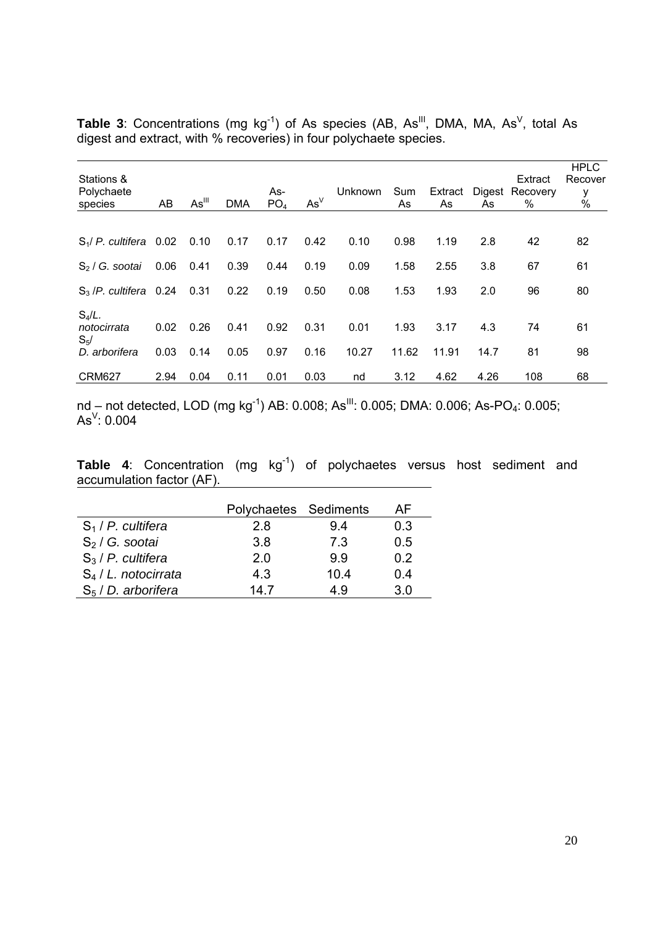| Stations &<br>Polychaete<br>species                 | AB           | $\mathsf{As}^{\mathsf{III}}$ | <b>DMA</b>   | As-<br>PO <sub>4</sub> | As <sup>V</sup> | Unknown       | Sum<br>As     | Extract<br>As | Digest<br>As | Extract<br>Recovery<br>% | <b>HPLC</b><br>Recover<br>у<br>$\%$ |
|-----------------------------------------------------|--------------|------------------------------|--------------|------------------------|-----------------|---------------|---------------|---------------|--------------|--------------------------|-------------------------------------|
| $S_1$ / P. cultifera                                | 0.02         | 0.10                         | 0.17         | 0.17                   | 0.42            | 0.10          | 0.98          | 1.19          | 2.8          | 42                       | 82                                  |
| $S2$ / G. sootai                                    | 0.06         | 0.41                         | 0.39         | 0.44                   | 0.19            | 0.09          | 1.58          | 2.55          | 3.8          | 67                       | 61                                  |
| $S_3$ /P. cultifera 0.24                            |              | 0.31                         | 0.22         | 0.19                   | 0.50            | 0.08          | 1.53          | 1.93          | 2.0          | 96                       | 80                                  |
| $S_4/L$ .<br>notocirrata<br>$S5$ /<br>D. arborifera | 0.02<br>0.03 | 0.26<br>0.14                 | 0.41<br>0.05 | 0.92<br>0.97           | 0.31<br>0.16    | 0.01<br>10.27 | 1.93<br>11.62 | 3.17<br>11.91 | 4.3<br>14.7  | 74<br>81                 | 61<br>98                            |
| <b>CRM627</b>                                       | 2.94         | 0.04                         | 0.11         | 0.01                   | 0.03            | nd            | 3.12          | 4.62          | 4.26         | 108                      | 68                                  |

**Table 3**: Concentrations (mg  $kg^{-1}$ ) of As species (AB, As<sup>III</sup>, DMA, MA, As<sup>V</sup>, total As digest and extract, with % recoveries) in four polychaete species.

nd – not detected, LOD (mg kg<sup>-1</sup>) AB: 0.008; As<sup>III</sup>: 0.005; DMA: 0.006; As-PO<sub>4</sub>: 0.005; As $^{\vee}$ : 0.004

|  | <b>Table 4:</b> Concentration (mg $kg^{-1}$ ) of polychaetes versus host sediment and |  |  |  |  |
|--|---------------------------------------------------------------------------------------|--|--|--|--|
|  | accumulation factor (AF).                                                             |  |  |  |  |

|                        | Polychaetes Sediments |      | ΑF  |
|------------------------|-----------------------|------|-----|
| $S_1$ / P. cultifera   | 2.8                   | 9.4  | 0.3 |
| $S2$ / G. sootai       | 3.8                   | 7.3  | 0.5 |
| $S_3$ / P. cultifera   | 2.0                   | 9.9  | 0.2 |
| $S_4$ / L. notocirrata | 4.3                   | 10.4 | 0.4 |
| $S5$ / D. arborifera   | 14 7                  | 49   | 3 በ |